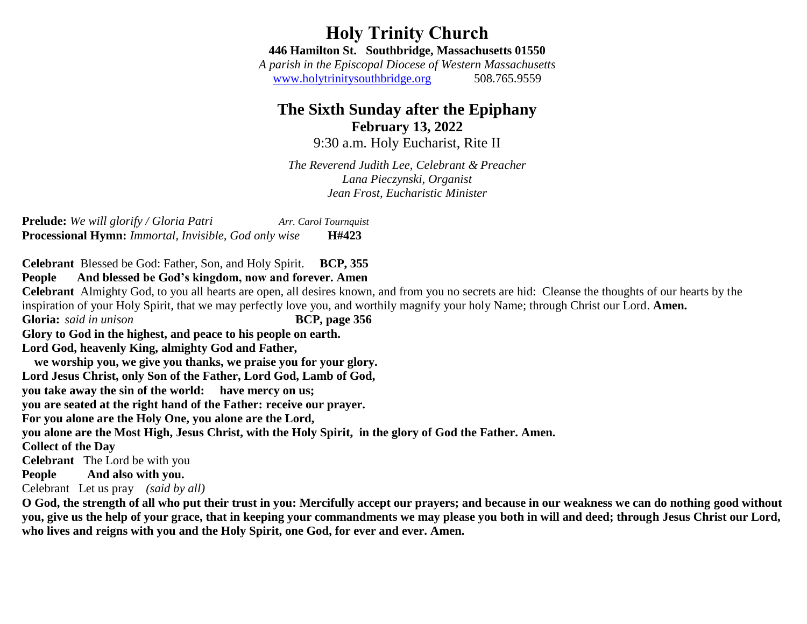**Holy Trinity Church 446 Hamilton St. Southbridge, Massachusetts 01550**

*A parish in the Episcopal Diocese of Western Massachusetts* [www.holytrinitysouthbridge.org](http://www.holytrinitysouthbridge.org/) 508.765.955[9](https://www.bing.com/search?q=holyt+trinity+episcopal+church+southbridge+ma&cvid=7e7a9a9b5d0a41ca9c5ecd38b8f0b484&aqs=edge..69i57j0j69i60.12565j0j1&pglt=43&FORM=ANNTA1&PC=U531)

# **The Sixth Sunday after the Epiphany February 13, 2022**

9:30 a.m. Holy Eucharist, Rite II

*The Reverend Judith Lee, Celebrant & Preacher Lana Pieczynski, Organist Jean Frost, Eucharistic Minister*

**Prelude:** *We will glorify / Gloria Patri Arr. Carol Tournquist* **Processional Hymn:** *Immortal, Invisible, God only wise* **H#423**

**Celebrant** Blessed be God: Father, Son, and Holy Spirit. **BCP, 355**

**People****And blessed be God's kingdom, now and forever. Amen**

**Celebrant** Almighty God, to you all hearts are open, all desires known, and from you no secrets are hid: Cleanse the thoughts of our hearts by the inspiration of your Holy Spirit, that we may perfectly love you, and worthily magnify your holy Name; through Christ our Lord. **Amen.**

**Gloria:** *said in unison* **BCP, page 356**

**Glory to God in the highest, and peace to his people on earth.**

**Lord God, heavenly King, almighty God and Father,**

 **we worship you, we give you thanks, we praise you for your glory.**

**Lord Jesus Christ, only Son of the Father, Lord God, Lamb of God,**

**you take away the sin of the world: have mercy on us;**

**you are seated at the right hand of the Father: receive our prayer.**

**For you alone are the Holy One, you alone are the Lord,**

**you alone are the Most High, Jesus Christ, with the Holy Spirit, in the glory of God the Father. Amen.**

### **Collect of the Day**

**Celebrant** The Lord be with you

**People And also with you.**

Celebrant Let us pray *(said by all)*

**O God, the strength of all who put their trust in you: Mercifully accept our prayers; and because in our weakness we can do nothing good without you, give us the help of your grace, that in keeping your commandments we may please you both in will and deed; through Jesus Christ our Lord, who lives and reigns with you and the Holy Spirit, one God, for ever and ever. Amen.**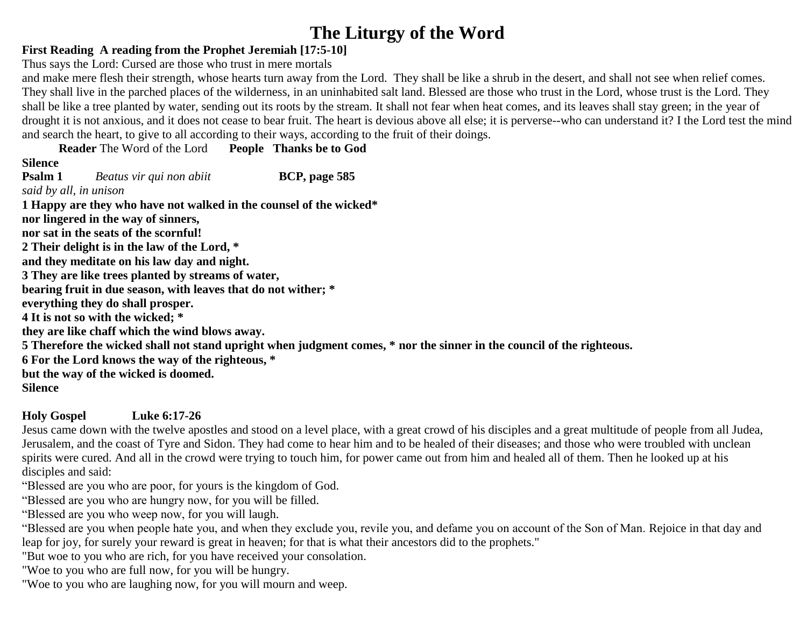# **The Liturgy of the Word**

# **First Reading A reading from the Prophet Jeremiah [17:5-10]**

Thus says the Lord: Cursed are those who trust in mere mortals

and make mere flesh their strength, whose hearts turn away from the Lord. They shall be like a shrub in the desert, and shall not see when relief comes. They shall live in the parched places of the wilderness, in an uninhabited salt land. Blessed are those who trust in the Lord, whose trust is the Lord. They shall be like a tree planted by water, sending out its roots by the stream. It shall not fear when heat comes, and its leaves shall stay green; in the year of drought it is not anxious, and it does not cease to bear fruit. The heart is devious above all else; it is perverse--who can understand it? I the Lord test the mind and search the heart, to give to all according to their ways, according to the fruit of their doings.

**Reader** The Word of the Lord **People Thanks be to God**

# **Silence**

**Psalm 1** *Beatus vir qui non abiit* **BCP, page 585** *said by all, in unison*  **1 Happy are they who have not walked in the counsel of the wicked\* nor lingered in the way of sinners, nor sat in the seats of the scornful! 2 Their delight is in the law of the Lord, \* and they meditate on his law day and night. 3 They are like trees planted by streams of water, bearing fruit in due season, with leaves that do not wither; \* everything they do shall prosper. 4 It is not so with the wicked; \* they are like chaff which the wind blows away. 5 Therefore the wicked shall not stand upright when judgment comes, \* nor the sinner in the council of the righteous. 6 For the Lord knows the way of the righteous, \* but the way of the wicked is doomed. Silence**

**Holy Gospel Luke 6:17-26**

Jesus came down with the twelve apostles and stood on a level place, with a great crowd of his disciples and a great multitude of people from all Judea, Jerusalem, and the coast of Tyre and Sidon. They had come to hear him and to be healed of their diseases; and those who were troubled with unclean spirits were cured. And all in the crowd were trying to touch him, for power came out from him and healed all of them. Then he looked up at his disciples and said:

"Blessed are you who are poor, for yours is the kingdom of God.

"Blessed are you who are hungry now, for you will be filled.

"Blessed are you who weep now, for you will laugh.

"Blessed are you when people hate you, and when they exclude you, revile you, and defame you on account of the Son of Man. Rejoice in that day and leap for joy, for surely your reward is great in heaven; for that is what their ancestors did to the prophets."

"But woe to you who are rich, for you have received your consolation.

"Woe to you who are full now, for you will be hungry.

"Woe to you who are laughing now, for you will mourn and weep.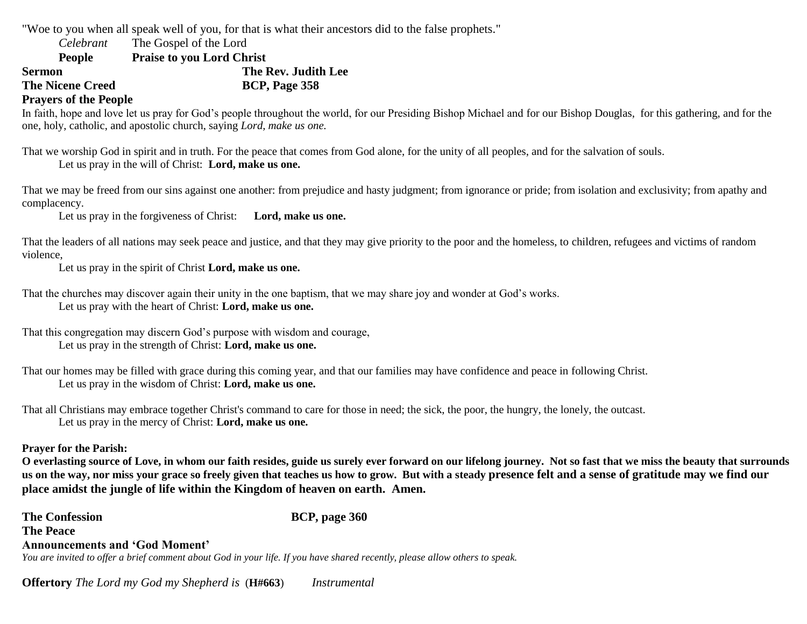"Woe to you when all speak well of you, for that is what their ancestors did to the false prophets."

*Celebrant* The Gospel of the Lord

**People Praise to you Lord Christ**

**Sermon** The Rev. Judith Lee

**The Nicene Creed BCP, Page 358** 

### **Prayers of the People**

In faith, hope and love let us pray for God's people throughout the world, for our Presiding Bishop Michael and for our Bishop Douglas, for this gathering, and for the one, holy, catholic, and apostolic church, saying *Lord, make us one.*

That we worship God in spirit and in truth. For the peace that comes from God alone, for the unity of all peoples, and for the salvation of souls. Let us pray in the will of Christ: **Lord, make us one.** 

That we may be freed from our sins against one another: from prejudice and hasty judgment; from ignorance or pride; from isolation and exclusivity; from apathy and complacency.

Let us pray in the forgiveness of Christ: **Lord, make us one.** 

That the leaders of all nations may seek peace and justice, and that they may give priority to the poor and the homeless, to children, refugees and victims of random violence,

Let us pray in the spirit of Christ **Lord, make us one.**

That the churches may discover again their unity in the one baptism, that we may share joy and wonder at God's works. Let us pray with the heart of Christ: **Lord, make us one.**

That this congregation may discern God's purpose with wisdom and courage, Let us pray in the strength of Christ: **Lord, make us one.**

That our homes may be filled with grace during this coming year, and that our families may have confidence and peace in following Christ. Let us pray in the wisdom of Christ: **Lord, make us one.**

That all Christians may embrace together Christ's command to care for those in need; the sick, the poor, the hungry, the lonely, the outcast. Let us pray in the mercy of Christ: **Lord, make us one.**

#### **Prayer for the Parish:**

**O everlasting source of Love, in whom our faith resides, guide us surely ever forward on our lifelong journey. Not so fast that we miss the beauty that surrounds us on the way, nor miss your grace so freely given that teaches us how to grow. But with a steady presence felt and a sense of gratitude may we find our place amidst the jungle of life within the Kingdom of heaven on earth. Amen.**

**The Confession BCP, page 360 The Peace Announcements and 'God Moment'**  *You are invited to offer a brief comment about God in your life. If you have shared recently, please allow others to speak.*

**Offertory** *The Lord my God my Shepherd is* (**H#663**) *Instrumental*